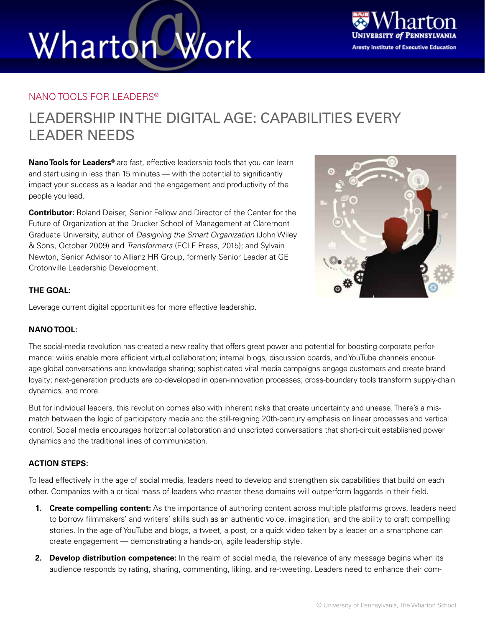# Wharton Work



### NANO TOOLS FOR LEADERS®

### LEADERSHIP IN THE DIGITAL AGE: CAPABILITIES EVERY LEADER NEEDS

**Nano Tools for Leaders®** are fast, effective leadership tools that you can learn and start using in less than 15 minutes — with the potential to significantly impact your success as a leader and the engagement and productivity of the people you lead.

**Contributor:** Roland Deiser, Senior Fellow and Director of the Center for the Future of Organization at the Drucker School of Management at Claremont Graduate University, author of *Designing the Smart Organization* (John Wiley & Sons, October 2009) and *Transformers* (ECLF Press, 2015); and Sylvain Newton, Senior Advisor to Allianz HR Group, formerly Senior Leader at GE Crotonville Leadership Development.



### **THE GOAL:**

Leverage current digital opportunities for more effective leadership.

### **NANO TOOL:**

The social-media revolution has created a new reality that offers great power and potential for boosting corporate performance: wikis enable more efficient virtual collaboration; internal blogs, discussion boards, and YouTube channels encourage global conversations and knowledge sharing; sophisticated viral media campaigns engage customers and create brand loyalty; next-generation products are co-developed in open-innovation processes; cross-boundary tools transform supply-chain dynamics, and more.

But for individual leaders, this revolution comes also with inherent risks that create uncertainty and unease. There's a mismatch between the logic of participatory media and the still-reigning 20th-century emphasis on linear processes and vertical control. Social media encourages horizontal collaboration and unscripted conversations that short-circuit established power dynamics and the traditional lines of communication.

### **ACTION STEPS:**

To lead effectively in the age of social media, leaders need to develop and strengthen six capabilities that build on each other. Companies with a critical mass of leaders who master these domains will outperform laggards in their field.

- **1. Create compelling content:** As the importance of authoring content across multiple platforms grows, leaders need to borrow filmmakers' and writers' skills such as an authentic voice, imagination, and the ability to craft compelling stories. In the age of YouTube and blogs, a tweet, a post, or a quick video taken by a leader on a smartphone can create engagement — demonstrating a hands-on, agile leadership style.
- **2. Develop distribution competence:** In the realm of social media, the relevance of any message begins when its audience responds by rating, sharing, commenting, liking, and re-tweeting. Leaders need to enhance their com-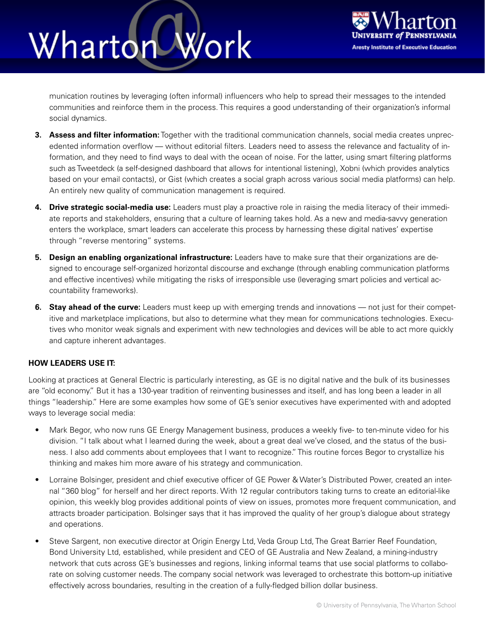## Work Wharton



munication routines by leveraging (often informal) influencers who help to spread their messages to the intended communities and reinforce them in the process. This requires a good understanding of their organization's informal social dynamics.

- **3. Assess and filter information:** Together with the traditional communication channels, social media creates unprecedented information overflow — without editorial filters. Leaders need to assess the relevance and factuality of information, and they need to find ways to deal with the ocean of noise. For the latter, using smart filtering platforms such as Tweetdeck (a self-designed dashboard that allows for intentional listening), Xobni (which provides analytics based on your email contacts), or Gist (which creates a social graph across various social media platforms) can help. An entirely new quality of communication management is required.
- **4. Drive strategic social-media use:** Leaders must play a proactive role in raising the media literacy of their immediate reports and stakeholders, ensuring that a culture of learning takes hold. As a new and media-savvy generation enters the workplace, smart leaders can accelerate this process by harnessing these digital natives' expertise through "reverse mentoring" systems.
- **5. Design an enabling organizational infrastructure:** Leaders have to make sure that their organizations are designed to encourage self-organized horizontal discourse and exchange (through enabling communication platforms and effective incentives) while mitigating the risks of irresponsible use (leveraging smart policies and vertical accountability frameworks).
- **6. Stay ahead of the curve:** Leaders must keep up with emerging trends and innovations not just for their competitive and marketplace implications, but also to determine what they mean for communications technologies. Executives who monitor weak signals and experiment with new technologies and devices will be able to act more quickly and capture inherent advantages.

### **HOW LEADERS USE IT:**

Looking at practices at General Electric is particularly interesting, as GE is no digital native and the bulk of its businesses are "old economy." But it has a 130-year tradition of reinventing businesses and itself, and has long been a leader in all things "leadership." Here are some examples how some of GE's senior executives have experimented with and adopted ways to leverage social media:

- Mark Begor, who now runs GE Energy Management business, produces a weekly five- to ten-minute video for his division. "I talk about what I learned during the week, about a great deal we've closed, and the status of the business. I also add comments about employees that I want to recognize." This routine forces Begor to crystallize his thinking and makes him more aware of his strategy and communication.
- Lorraine Bolsinger, president and chief executive officer of GE Power & Water's Distributed Power, created an internal "360 blog" for herself and her direct reports. With 12 regular contributors taking turns to create an editorial-like opinion, this weekly blog provides additional points of view on issues, promotes more frequent communication, and attracts broader participation. Bolsinger says that it has improved the quality of her group's dialogue about strategy and operations.
- Steve Sargent, non executive director at Origin Energy Ltd, Veda Group Ltd, The Great Barrier Reef Foundation, Bond University Ltd, established, while president and CEO of GE Australia and New Zealand, a mining-industry network that cuts across GE's businesses and regions, linking informal teams that use social platforms to collaborate on solving customer needs. The company social network was leveraged to orchestrate this bottom-up initiative effectively across boundaries, resulting in the creation of a fully-fledged billion dollar business.